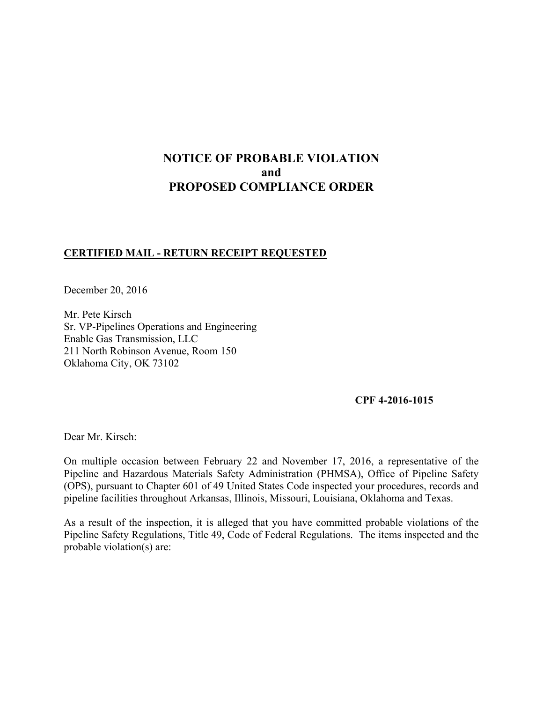# **NOTICE OF PROBABLE VIOLATION and PROPOSED COMPLIANCE ORDER**

# **CERTIFIED MAIL - RETURN RECEIPT REQUESTED**

December 20, 2016

Mr. Pete Kirsch Sr. VP-Pipelines Operations and Engineering Enable Gas Transmission, LLC 211 North Robinson Avenue, Room 150 Oklahoma City, OK 73102

#### **CPF 4-2016-1015**

Dear Mr. Kirsch:

On multiple occasion between February 22 and November 17, 2016, a representative of the Pipeline and Hazardous Materials Safety Administration (PHMSA), Office of Pipeline Safety (OPS), pursuant to Chapter 601 of 49 United States Code inspected your procedures, records and pipeline facilities throughout Arkansas, Illinois, Missouri, Louisiana, Oklahoma and Texas.

As a result of the inspection, it is alleged that you have committed probable violations of the Pipeline Safety Regulations, Title 49, Code of Federal Regulations. The items inspected and the probable violation(s) are: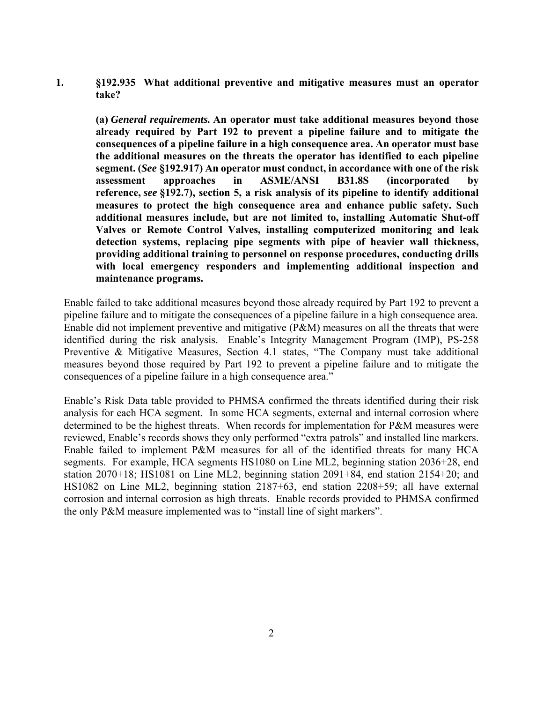**1. §192.935 What additional preventive and mitigative measures must an operator take?** 

 **(a)** *General requirements.* **An operator must take additional measures beyond those already required by Part 192 to prevent a pipeline failure and to mitigate the consequences of a pipeline failure in a high consequence area. An operator must base the additional measures on the threats the operator has identified to each pipeline segment. (***See* **§192.917) An operator must conduct, in accordance with one of the risk assessment approaches in ASME/ANSI B31.8S (incorporated by reference,** *see* **§192.7), section 5, a risk analysis of its pipeline to identify additional measures to protect the high consequence area and enhance public safety. Such additional measures include, but are not limited to, installing Automatic Shut-off Valves or Remote Control Valves, installing computerized monitoring and leak detection systems, replacing pipe segments with pipe of heavier wall thickness, providing additional training to personnel on response procedures, conducting drills with local emergency responders and implementing additional inspection and maintenance programs.** 

Enable failed to take additional measures beyond those already required by Part 192 to prevent a pipeline failure and to mitigate the consequences of a pipeline failure in a high consequence area. Enable did not implement preventive and mitigative (P&M) measures on all the threats that were identified during the risk analysis. Enable's Integrity Management Program (IMP), PS-258 Preventive & Mitigative Measures, Section 4.1 states, "The Company must take additional measures beyond those required by Part 192 to prevent a pipeline failure and to mitigate the consequences of a pipeline failure in a high consequence area."

Enable's Risk Data table provided to PHMSA confirmed the threats identified during their risk analysis for each HCA segment. In some HCA segments, external and internal corrosion where determined to be the highest threats. When records for implementation for P&M measures were reviewed, Enable's records shows they only performed "extra patrols" and installed line markers. Enable failed to implement P&M measures for all of the identified threats for many HCA segments. For example, HCA segments HS1080 on Line ML2, beginning station 2036+28, end station 2070+18; HS1081 on Line ML2, beginning station 2091+84, end station 2154+20; and HS1082 on Line ML2, beginning station 2187+63, end station 2208+59; all have external corrosion and internal corrosion as high threats. Enable records provided to PHMSA confirmed the only P&M measure implemented was to "install line of sight markers".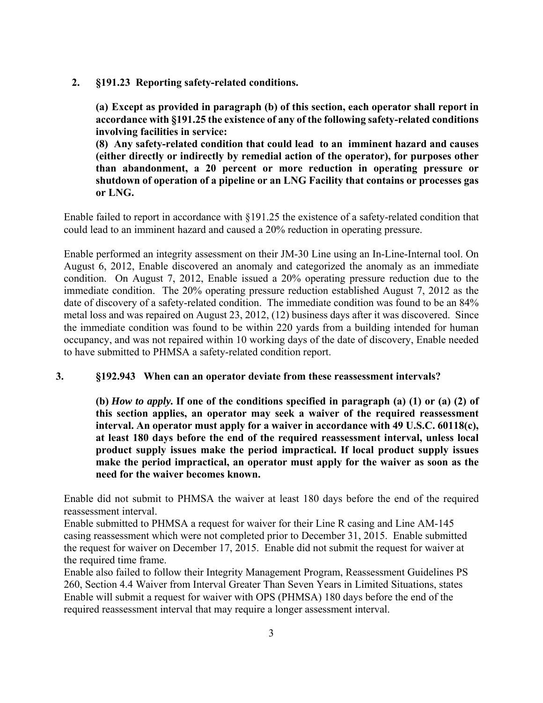**2. §191.23 Reporting safety-related conditions.** 

**(a) Except as provided in paragraph (b) of this section, each operator shall report in accordance with §191.25 the existence of any of the following safety-related conditions involving facilities in service:** 

**(8) Any safety-related condition that could lead to an imminent hazard and causes (either directly or indirectly by remedial action of the operator), for purposes other than abandonment, a 20 percent or more reduction in operating pressure or shutdown of operation of a pipeline or an LNG Facility that contains or processes gas or LNG.** 

Enable failed to report in accordance with §191.25 the existence of a safety-related condition that could lead to an imminent hazard and caused a 20% reduction in operating pressure.

Enable performed an integrity assessment on their JM-30 Line using an In-Line-Internal tool. On August 6, 2012, Enable discovered an anomaly and categorized the anomaly as an immediate condition. On August 7, 2012, Enable issued a 20% operating pressure reduction due to the immediate condition. The 20% operating pressure reduction established August 7, 2012 as the date of discovery of a safety-related condition. The immediate condition was found to be an 84% metal loss and was repaired on August 23, 2012, (12) business days after it was discovered. Since the immediate condition was found to be within 220 yards from a building intended for human occupancy, and was not repaired within 10 working days of the date of discovery, Enable needed to have submitted to PHMSA a safety-related condition report.

## **3. §192.943 When can an operator deviate from these reassessment intervals?**

**(b)** *How to apply.* **If one of the conditions specified in paragraph (a) (1) or (a) (2) of this section applies, an operator may seek a waiver of the required reassessment interval. An operator must apply for a waiver in accordance with 49 U.S.C. 60118(c), at least 180 days before the end of the required reassessment interval, unless local product supply issues make the period impractical. If local product supply issues make the period impractical, an operator must apply for the waiver as soon as the need for the waiver becomes known.** 

Enable did not submit to PHMSA the waiver at least 180 days before the end of the required reassessment interval.

Enable submitted to PHMSA a request for waiver for their Line R casing and Line AM-145 casing reassessment which were not completed prior to December 31, 2015. Enable submitted the request for waiver on December 17, 2015. Enable did not submit the request for waiver at the required time frame.

Enable also failed to follow their Integrity Management Program, Reassessment Guidelines PS 260, Section 4.4 Waiver from Interval Greater Than Seven Years in Limited Situations, states Enable will submit a request for waiver with OPS (PHMSA) 180 days before the end of the required reassessment interval that may require a longer assessment interval.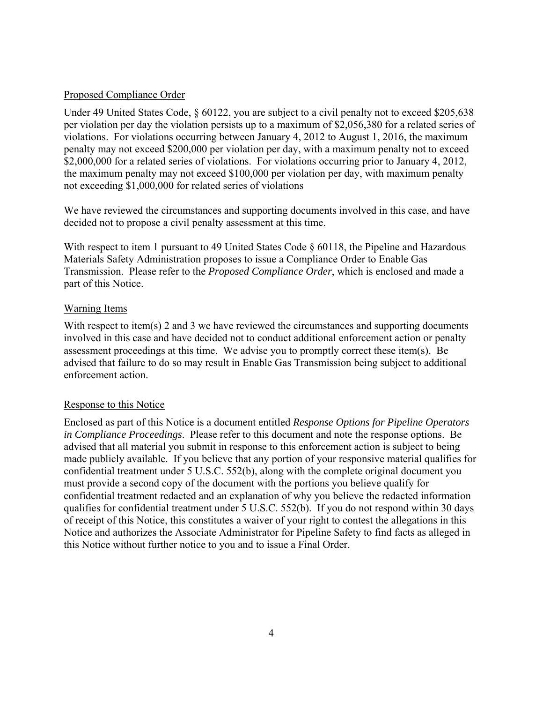#### Proposed Compliance Order

Under 49 United States Code, § 60122, you are subject to a civil penalty not to exceed \$205,638 per violation per day the violation persists up to a maximum of \$2,056,380 for a related series of violations. For violations occurring between January 4, 2012 to August 1, 2016, the maximum penalty may not exceed \$200,000 per violation per day, with a maximum penalty not to exceed \$2,000,000 for a related series of violations. For violations occurring prior to January 4, 2012, the maximum penalty may not exceed \$100,000 per violation per day, with maximum penalty not exceeding \$1,000,000 for related series of violations

We have reviewed the circumstances and supporting documents involved in this case, and have decided not to propose a civil penalty assessment at this time.

With respect to item 1 pursuant to 49 United States Code § 60118, the Pipeline and Hazardous Materials Safety Administration proposes to issue a Compliance Order to Enable Gas Transmission. Please refer to the *Proposed Compliance Order*, which is enclosed and made a part of this Notice.

#### Warning Items

With respect to item(s) 2 and 3 we have reviewed the circumstances and supporting documents involved in this case and have decided not to conduct additional enforcement action or penalty assessment proceedings at this time. We advise you to promptly correct these item(s). Be advised that failure to do so may result in Enable Gas Transmission being subject to additional enforcement action.

## Response to this Notice

Enclosed as part of this Notice is a document entitled *Response Options for Pipeline Operators in Compliance Proceedings*. Please refer to this document and note the response options. Be advised that all material you submit in response to this enforcement action is subject to being made publicly available. If you believe that any portion of your responsive material qualifies for confidential treatment under 5 U.S.C. 552(b), along with the complete original document you must provide a second copy of the document with the portions you believe qualify for confidential treatment redacted and an explanation of why you believe the redacted information qualifies for confidential treatment under 5 U.S.C. 552(b). If you do not respond within 30 days of receipt of this Notice, this constitutes a waiver of your right to contest the allegations in this Notice and authorizes the Associate Administrator for Pipeline Safety to find facts as alleged in this Notice without further notice to you and to issue a Final Order.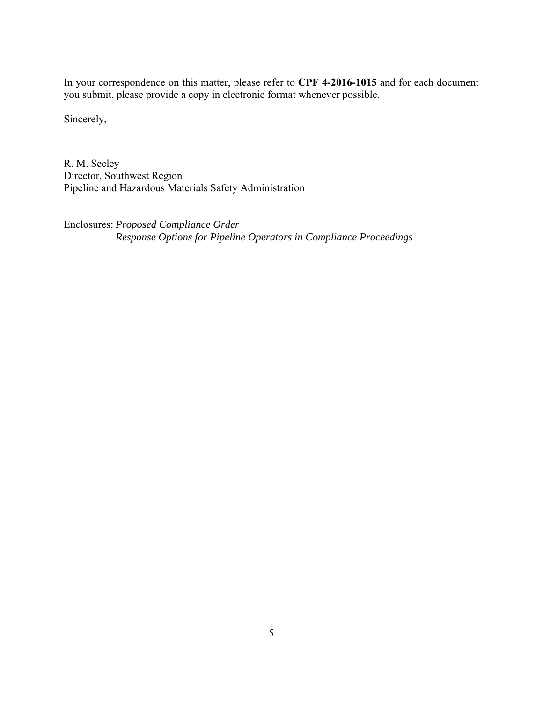In your correspondence on this matter, please refer to **CPF 4-2016-1015** and for each document you submit, please provide a copy in electronic format whenever possible.

Sincerely,

R. M. Seeley Director, Southwest Region Pipeline and Hazardous Materials Safety Administration

Enclosures: *Proposed Compliance Order Response Options for Pipeline Operators in Compliance Proceedings*